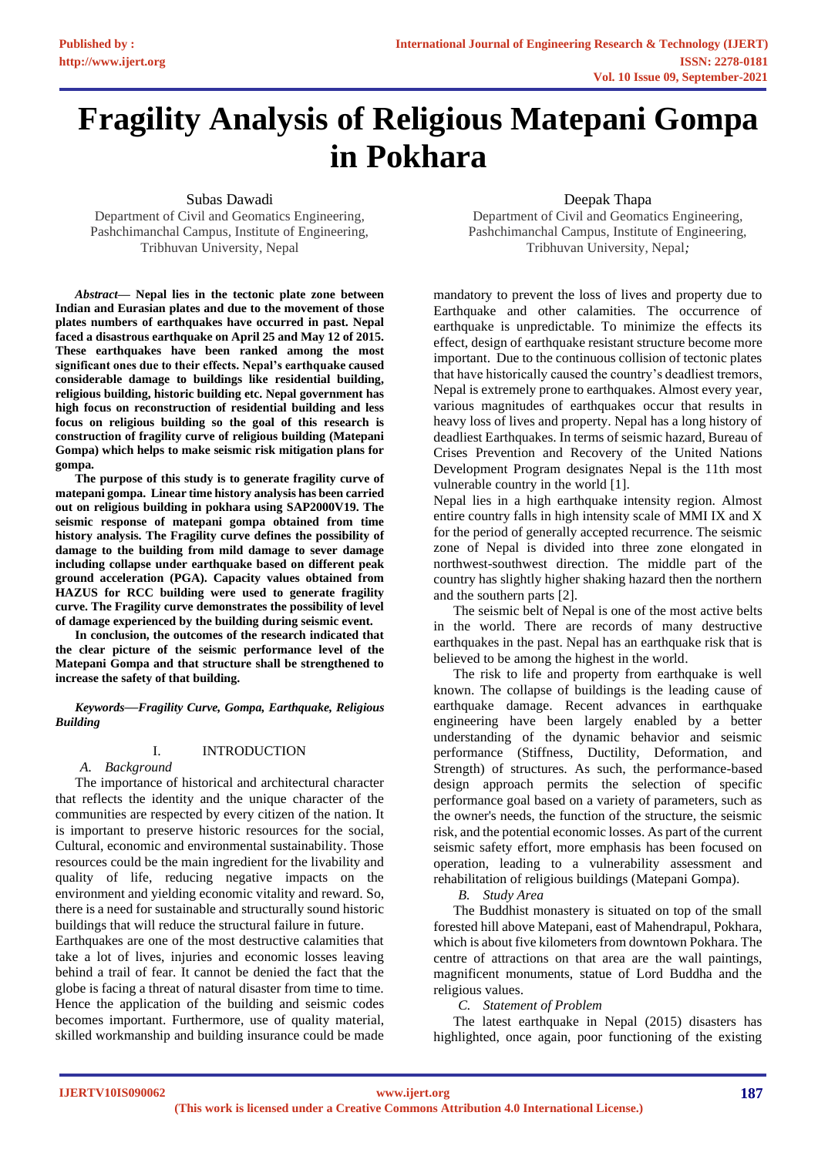# **Fragility Analysis of Religious Matepani Gompa in Pokhara**

Subas Dawadi

Department of Civil and Geomatics Engineering, Pashchimanchal Campus, Institute of Engineering, Tribhuvan University, Nepal

Deepak Thapa

Department of Civil and Geomatics Engineering, Pashchimanchal Campus, Institute of Engineering, Tribhuvan University, Nepal*;*

*Abstract***— Nepal lies in the tectonic plate zone between Indian and Eurasian plates and due to the movement of those plates numbers of earthquakes have occurred in past. Nepal faced a disastrous earthquake on April 25 and May 12 of 2015. These earthquakes have been ranked among the most significant ones due to their effects. Nepal's earthquake caused considerable damage to buildings like residential building, religious building, historic building etc. Nepal government has high focus on reconstruction of residential building and less focus on religious building so the goal of this research is construction of fragility curve of religious building (Matepani Gompa) which helps to make seismic risk mitigation plans for gompa.** 

**The purpose of this study is to generate fragility curve of matepani gompa. Linear time history analysis has been carried out on religious building in pokhara using SAP2000V19. The seismic response of matepani gompa obtained from time history analysis. The Fragility curve defines the possibility of damage to the building from mild damage to sever damage including collapse under earthquake based on different peak ground acceleration (PGA). Capacity values obtained from HAZUS for RCC building were used to generate fragility curve. The Fragility curve demonstrates the possibility of level of damage experienced by the building during seismic event.** 

**In conclusion, the outcomes of the research indicated that the clear picture of the seismic performance level of the Matepani Gompa and that structure shall be strengthened to increase the safety of that building.**

*Keywords***—***Fragility Curve, Gompa, Earthquake, Religious Building*

# I. INTRODUCTION

*A. Background*

The importance of historical and architectural character that reflects the identity and the unique character of the communities are respected by every citizen of the nation. It is important to preserve historic resources for the social, Cultural, economic and environmental sustainability. Those resources could be the main ingredient for the livability and quality of life, reducing negative impacts on the environment and yielding economic vitality and reward. So, there is a need for sustainable and structurally sound historic buildings that will reduce the structural failure in future.

Earthquakes are one of the most destructive calamities that take a lot of lives, injuries and economic losses leaving behind a trail of fear. It cannot be denied the fact that the globe is facing a threat of natural disaster from time to time. Hence the application of the building and seismic codes becomes important. Furthermore, use of quality material, skilled workmanship and building insurance could be made

mandatory to prevent the loss of lives and property due to Earthquake and other calamities. The occurrence of earthquake is unpredictable. To minimize the effects its effect, design of earthquake resistant structure become more important. Due to the continuous collision of tectonic plates that have historically caused the country's deadliest tremors, Nepal is extremely prone to earthquakes. Almost every year, various magnitudes of earthquakes occur that results in heavy loss of lives and property. Nepal has a long history of deadliest Earthquakes. In terms of seismic hazard, Bureau of Crises Prevention and Recovery of the United Nations Development Program designates Nepal is the 11th most vulnerable country in the world [1].

Nepal lies in a high earthquake intensity region. Almost entire country falls in high intensity scale of MMI IX and X for the period of generally accepted recurrence. The seismic zone of Nepal is divided into three zone elongated in northwest-southwest direction. The middle part of the country has slightly higher shaking hazard then the northern and the southern parts [2].

The seismic belt of Nepal is one of the most active belts in the world. There are records of many destructive earthquakes in the past. Nepal has an earthquake risk that is believed to be among the highest in the world.

The risk to life and property from earthquake is well known. The collapse of buildings is the leading cause of earthquake damage. Recent advances in earthquake engineering have been largely enabled by a better understanding of the dynamic behavior and seismic performance (Stiffness, Ductility, Deformation, and Strength) of structures. As such, the performance-based design approach permits the selection of specific performance goal based on a variety of parameters, such as the owner's needs, the function of the structure, the seismic risk, and the potential economic losses. As part of the current seismic safety effort, more emphasis has been focused on operation, leading to a vulnerability assessment and rehabilitation of religious buildings (Matepani Gompa).

*B. Study Area*

The Buddhist monastery is situated on top of the small forested hill above Matepani, east of Mahendrapul, Pokhara, which is about five kilometers from downtown Pokhara. The centre of attractions on that area are the wall paintings, magnificent monuments, statue of Lord Buddha and the religious values.

# *C. Statement of Problem*

The latest earthquake in Nepal (2015) disasters has highlighted, once again, poor functioning of the existing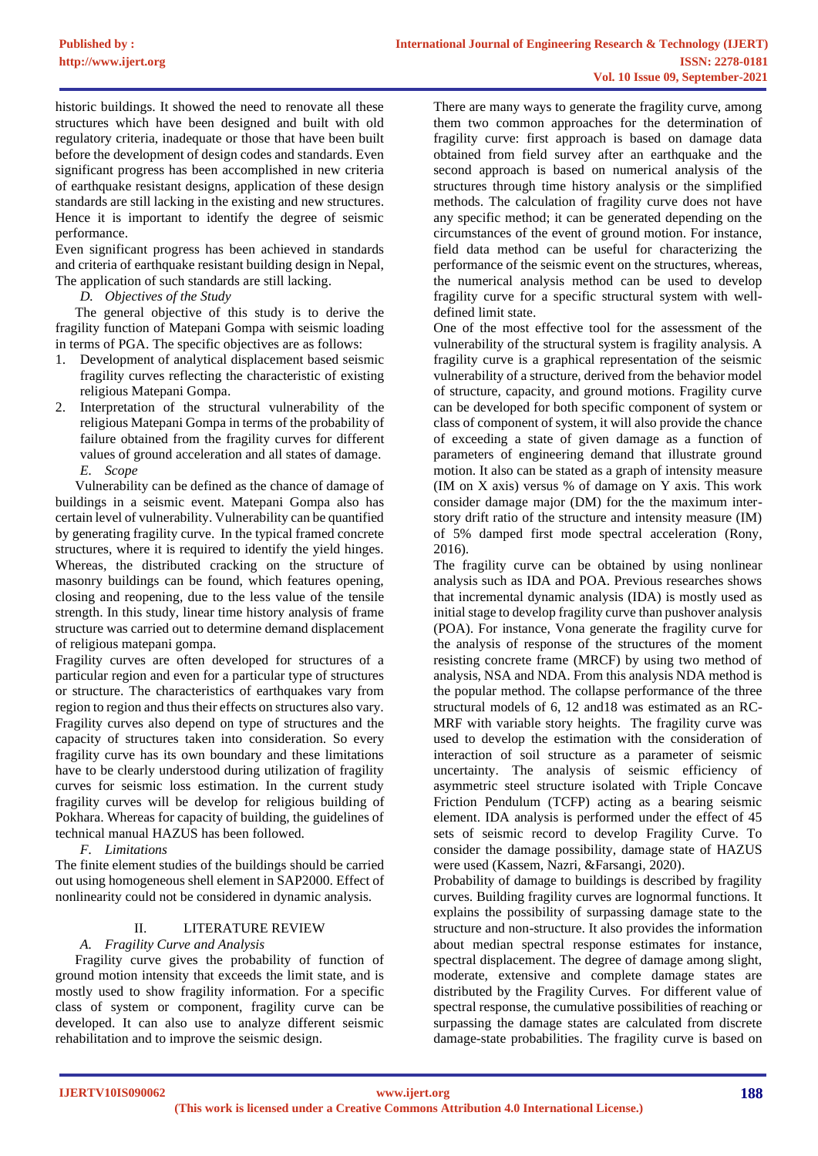historic buildings. It showed the need to renovate all these structures which have been designed and built with old regulatory criteria, inadequate or those that have been built before the development of design codes and standards. Even significant progress has been accomplished in new criteria of earthquake resistant designs, application of these design standards are still lacking in the existing and new structures. Hence it is important to identify the degree of seismic performance.

Even significant progress has been achieved in standards and criteria of earthquake resistant building design in Nepal, The application of such standards are still lacking.

*D. Objectives of the Study*

The general objective of this study is to derive the fragility function of Matepani Gompa with seismic loading in terms of PGA. The specific objectives are as follows:

- 1. Development of analytical displacement based seismic fragility curves reflecting the characteristic of existing religious Matepani Gompa.
- 2. Interpretation of the structural vulnerability of the religious Matepani Gompa in terms of the probability of failure obtained from the fragility curves for different values of ground acceleration and all states of damage. *E. Scope*

Vulnerability can be defined as the chance of damage of buildings in a seismic event. Matepani Gompa also has certain level of vulnerability. Vulnerability can be quantified by generating fragility curve. In the typical framed concrete structures, where it is required to identify the yield hinges. Whereas, the distributed cracking on the structure of masonry buildings can be found, which features opening, closing and reopening, due to the less value of the tensile strength. In this study, linear time history analysis of frame structure was carried out to determine demand displacement of religious matepani gompa.

Fragility curves are often developed for structures of a particular region and even for a particular type of structures or structure. The characteristics of earthquakes vary from region to region and thus their effects on structures also vary. Fragility curves also depend on type of structures and the capacity of structures taken into consideration. So every fragility curve has its own boundary and these limitations have to be clearly understood during utilization of fragility curves for seismic loss estimation. In the current study fragility curves will be develop for religious building of Pokhara. Whereas for capacity of building, the guidelines of technical manual HAZUS has been followed.

*F. Limitations*

The finite element studies of the buildings should be carried out using homogeneous shell element in SAP2000. Effect of nonlinearity could not be considered in dynamic analysis.

# II. LITERATURE REVIEW

# *A. Fragility Curve and Analysis*

Fragility curve gives the probability of function of ground motion intensity that exceeds the limit state, and is mostly used to show fragility information. For a specific class of system or component, fragility curve can be developed. It can also use to analyze different seismic rehabilitation and to improve the seismic design.

There are many ways to generate the fragility curve, among them two common approaches for the determination of fragility curve: first approach is based on damage data obtained from field survey after an earthquake and the second approach is based on numerical analysis of the structures through time history analysis or the simplified methods. The calculation of fragility curve does not have any specific method; it can be generated depending on the circumstances of the event of ground motion. For instance, field data method can be useful for characterizing the performance of the seismic event on the structures, whereas, the numerical analysis method can be used to develop fragility curve for a specific structural system with welldefined limit state.

One of the most effective tool for the assessment of the vulnerability of the structural system is fragility analysis. A fragility curve is a graphical representation of the seismic vulnerability of a structure, derived from the behavior model of structure, capacity, and ground motions. Fragility curve can be developed for both specific component of system or class of component of system, it will also provide the chance of exceeding a state of given damage as a function of parameters of engineering demand that illustrate ground motion. It also can be stated as a graph of intensity measure (IM on X axis) versus % of damage on Y axis. This work consider damage major (DM) for the the maximum interstory drift ratio of the structure and intensity measure (IM) of 5% damped first mode spectral acceleration (Rony, 2016).

The fragility curve can be obtained by using nonlinear analysis such as IDA and POA. Previous researches shows that incremental dynamic analysis (IDA) is mostly used as initial stage to develop fragility curve than pushover analysis (POA). For instance, Vona generate the fragility curve for the analysis of response of the structures of the moment resisting concrete frame (MRCF) by using two method of analysis, NSA and NDA. From this analysis NDA method is the popular method. The collapse performance of the three structural models of 6, 12 and18 was estimated as an RC-MRF with variable story heights. The fragility curve was used to develop the estimation with the consideration of interaction of soil structure as a parameter of seismic uncertainty. The analysis of seismic efficiency of asymmetric steel structure isolated with Triple Concave Friction Pendulum (TCFP) acting as a bearing seismic element. IDA analysis is performed under the effect of 45 sets of seismic record to develop Fragility Curve. To consider the damage possibility, damage state of HAZUS were used (Kassem, Nazri, &Farsangi, 2020).

Probability of damage to buildings is described by fragility curves. Building fragility curves are lognormal functions. It explains the possibility of surpassing damage state to the structure and non-structure. It also provides the information about median spectral response estimates for instance, spectral displacement. The degree of damage among slight, moderate, extensive and complete damage states are distributed by the Fragility Curves. For different value of spectral response, the cumulative possibilities of reaching or surpassing the damage states are calculated from discrete damage-state probabilities. The fragility curve is based on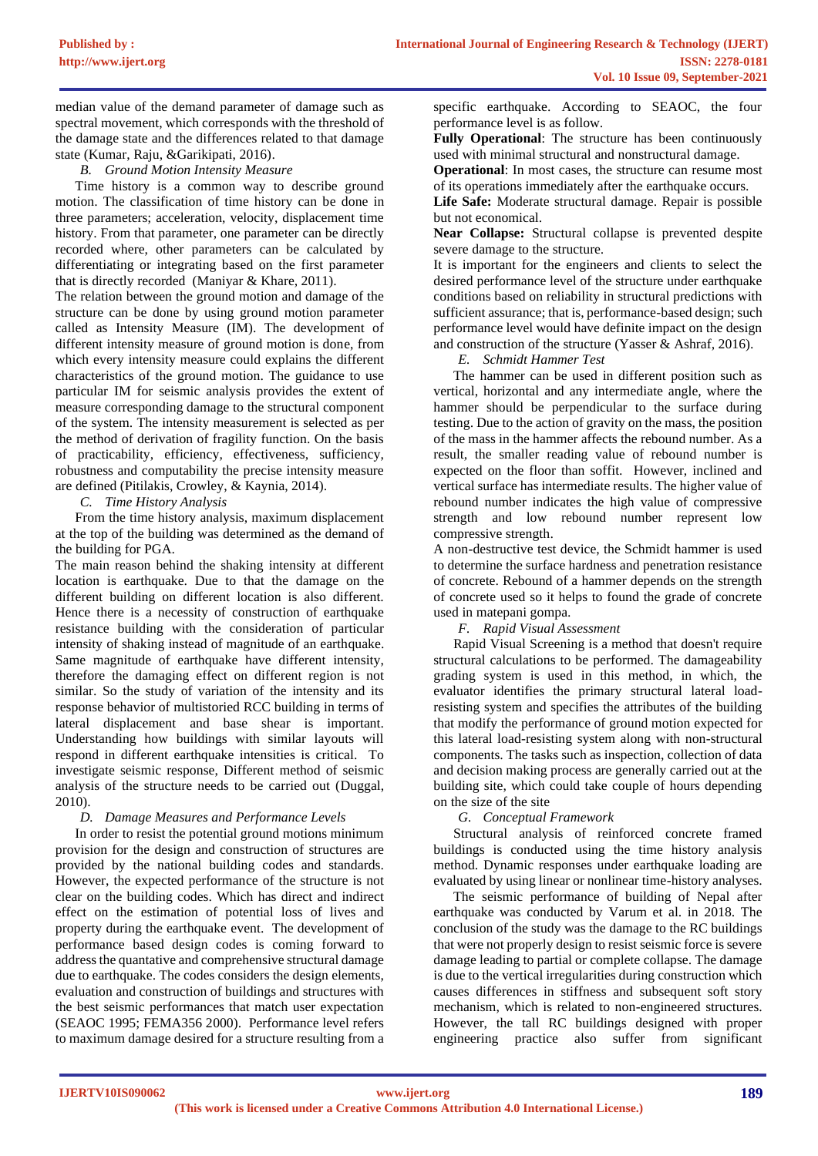median value of the demand parameter of damage such as spectral movement, which corresponds with the threshold of the damage state and the differences related to that damage state (Kumar, Raju, &Garikipati, 2016).

# *B. Ground Motion Intensity Measure*

Time history is a common way to describe ground motion. The classification of time history can be done in three parameters; acceleration, velocity, displacement time history. From that parameter, one parameter can be directly recorded where, other parameters can be calculated by differentiating or integrating based on the first parameter that is directly recorded (Maniyar & Khare, 2011).

The relation between the ground motion and damage of the structure can be done by using ground motion parameter called as Intensity Measure (IM). The development of different intensity measure of ground motion is done, from which every intensity measure could explains the different characteristics of the ground motion. The guidance to use particular IM for seismic analysis provides the extent of measure corresponding damage to the structural component of the system. The intensity measurement is selected as per the method of derivation of fragility function. On the basis of practicability, efficiency, effectiveness, sufficiency, robustness and computability the precise intensity measure are defined (Pitilakis, Crowley, & Kaynia, 2014).

*C. Time History Analysis*

From the time history analysis, maximum displacement at the top of the building was determined as the demand of the building for PGA.

The main reason behind the shaking intensity at different location is earthquake. Due to that the damage on the different building on different location is also different. Hence there is a necessity of construction of earthquake resistance building with the consideration of particular intensity of shaking instead of magnitude of an earthquake. Same magnitude of earthquake have different intensity, therefore the damaging effect on different region is not similar. So the study of variation of the intensity and its response behavior of multistoried RCC building in terms of lateral displacement and base shear is important. Understanding how buildings with similar layouts will respond in different earthquake intensities is critical. To investigate seismic response, Different method of seismic analysis of the structure needs to be carried out (Duggal, 2010).

# *D. Damage Measures and Performance Levels*

In order to resist the potential ground motions minimum provision for the design and construction of structures are provided by the national building codes and standards. However, the expected performance of the structure is not clear on the building codes. Which has direct and indirect effect on the estimation of potential loss of lives and property during the earthquake event. The development of performance based design codes is coming forward to address the quantative and comprehensive structural damage due to earthquake. The codes considers the design elements, evaluation and construction of buildings and structures with the best seismic performances that match user expectation (SEAOC 1995; FEMA356 2000). Performance level refers to maximum damage desired for a structure resulting from a

specific earthquake. According to SEAOC, the four performance level is as follow.

**Fully Operational**: The structure has been continuously used with minimal structural and nonstructural damage.

**Operational**: In most cases, the structure can resume most of its operations immediately after the earthquake occurs.

**Life Safe:** Moderate structural damage. Repair is possible but not economical.

**Near Collapse:** Structural collapse is prevented despite severe damage to the structure.

It is important for the engineers and clients to select the desired performance level of the structure under earthquake conditions based on reliability in structural predictions with sufficient assurance; that is, performance-based design; such performance level would have definite impact on the design and construction of the structure (Yasser & Ashraf, 2016).

*E. Schmidt Hammer Test*

The hammer can be used in different position such as vertical, horizontal and any intermediate angle, where the hammer should be perpendicular to the surface during testing. Due to the action of gravity on the mass, the position of the mass in the hammer affects the rebound number. As a result, the smaller reading value of rebound number is expected on the floor than soffit. However, inclined and vertical surface has intermediate results. The higher value of rebound number indicates the high value of compressive strength and low rebound number represent low compressive strength.

A non-destructive test device, the Schmidt hammer is used to determine the surface hardness and penetration resistance of concrete. Rebound of a hammer depends on the strength of concrete used so it helps to found the grade of concrete used in matepani gompa.

# *F. Rapid Visual Assessment*

Rapid Visual Screening is a method that doesn't require structural calculations to be performed. The damageability grading system is used in this method, in which, the evaluator identifies the primary structural lateral loadresisting system and specifies the attributes of the building that modify the performance of ground motion expected for this lateral load-resisting system along with non-structural components. The tasks such as inspection, collection of data and decision making process are generally carried out at the building site, which could take couple of hours depending on the size of the site

*G. Conceptual Framework*

Structural analysis of reinforced concrete framed buildings is conducted using the time history analysis method. Dynamic responses under earthquake loading are evaluated by using linear or nonlinear time-history analyses.

The seismic performance of building of Nepal after earthquake was conducted by Varum et al. in 2018. The conclusion of the study was the damage to the RC buildings that were not properly design to resist seismic force is severe damage leading to partial or complete collapse. The damage is due to the vertical irregularities during construction which causes differences in stiffness and subsequent soft story mechanism, which is related to non-engineered structures. However, the tall RC buildings designed with proper engineering practice also suffer from significant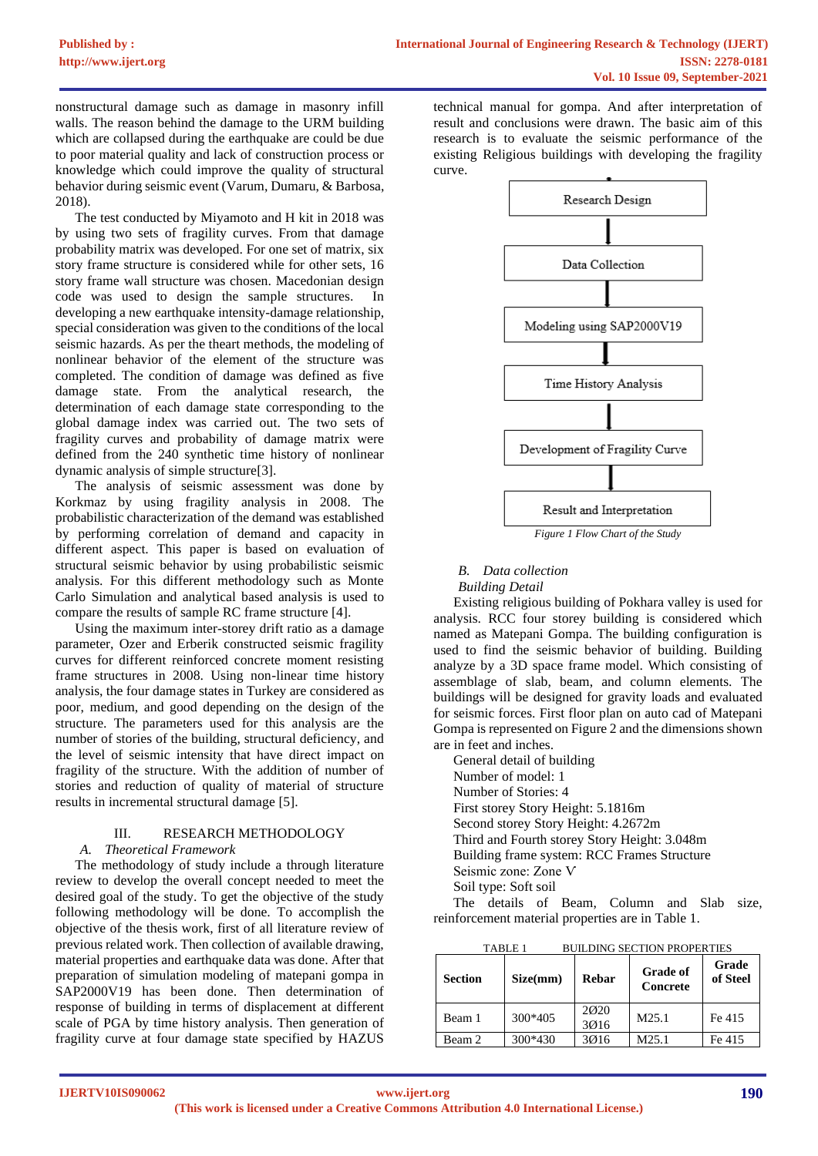nonstructural damage such as damage in masonry infill walls. The reason behind the damage to the URM building which are collapsed during the earthquake are could be due to poor material quality and lack of construction process or knowledge which could improve the quality of structural behavior during seismic event (Varum, Dumaru, & Barbosa, 2018).

The test conducted by Miyamoto and H kit in 2018 was by using two sets of fragility curves. From that damage probability matrix was developed. For one set of matrix, six story frame structure is considered while for other sets, 16 story frame wall structure was chosen. Macedonian design code was used to design the sample structures. In developing a new earthquake intensity-damage relationship, special consideration was given to the conditions of the local seismic hazards. As per the theart methods, the modeling of nonlinear behavior of the element of the structure was completed. The condition of damage was defined as five damage state. From the analytical research, the determination of each damage state corresponding to the global damage index was carried out. The two sets of fragility curves and probability of damage matrix were defined from the 240 synthetic time history of nonlinear dynamic analysis of simple structure[3].

The analysis of seismic assessment was done by Korkmaz by using fragility analysis in 2008. The probabilistic characterization of the demand was established by performing correlation of demand and capacity in different aspect. This paper is based on evaluation of structural seismic behavior by using probabilistic seismic analysis. For this different methodology such as Monte Carlo Simulation and analytical based analysis is used to compare the results of sample RC frame structure [4].

Using the maximum inter-storey drift ratio as a damage parameter, Ozer and Erberik constructed seismic fragility curves for different reinforced concrete moment resisting frame structures in 2008. Using non-linear time history analysis, the four damage states in Turkey are considered as poor, medium, and good depending on the design of the structure. The parameters used for this analysis are the number of stories of the building, structural deficiency, and the level of seismic intensity that have direct impact on fragility of the structure. With the addition of number of stories and reduction of quality of material of structure results in incremental structural damage [5].

# III. RESEARCH METHODOLOGY

#### *A. Theoretical Framework*

The methodology of study include a through literature review to develop the overall concept needed to meet the desired goal of the study. To get the objective of the study following methodology will be done. To accomplish the objective of the thesis work, first of all literature review of previous related work. Then collection of available drawing, material properties and earthquake data was done. After that preparation of simulation modeling of matepani gompa in SAP2000V19 has been done. Then determination of response of building in terms of displacement at different scale of PGA by time history analysis. Then generation of fragility curve at four damage state specified by HAZUS

technical manual for gompa. And after interpretation of result and conclusions were drawn. The basic aim of this research is to evaluate the seismic performance of the existing Religious buildings with developing the fragility curve.



#### *B. Data collection*

*Building Detail*

Existing religious building of Pokhara valley is used for analysis. RCC four storey building is considered which named as Matepani Gompa. The building configuration is used to find the seismic behavior of building. Building analyze by a 3D space frame model. Which consisting of assemblage of slab, beam, and column elements. The buildings will be designed for gravity loads and evaluated for seismic forces. First floor plan on auto cad of Matepani Gompa is represented on Figure 2 and the dimensions shown are in feet and inches.

General detail of building Number of model: 1 Number of Stories: 4 First storey Story Height: 5.1816m Second storey Story Height: 4.2672m Third and Fourth storey Story Height: 3.048m Building frame system: RCC Frames Structure Seismic zone: Zone Ѵ Soil type: Soft soil

The details of Beam, Column and Slab size, reinforcement material properties are in Table 1.

| <b>BUILDING SECTION PROPERTIES</b><br>TABLE <sub>1</sub> |          |              |                             |                   |  |
|----------------------------------------------------------|----------|--------------|-----------------------------|-------------------|--|
| <b>Section</b>                                           | Size(mm) | Rebar        | <b>Grade of</b><br>Concrete | Grade<br>of Steel |  |
| Beam 1                                                   | 300*405  | 2020<br>3Ø16 | M25.1                       | Fe 415            |  |
| Beam 2                                                   | 300*430  | 3016         | M25.1                       | Fe 415            |  |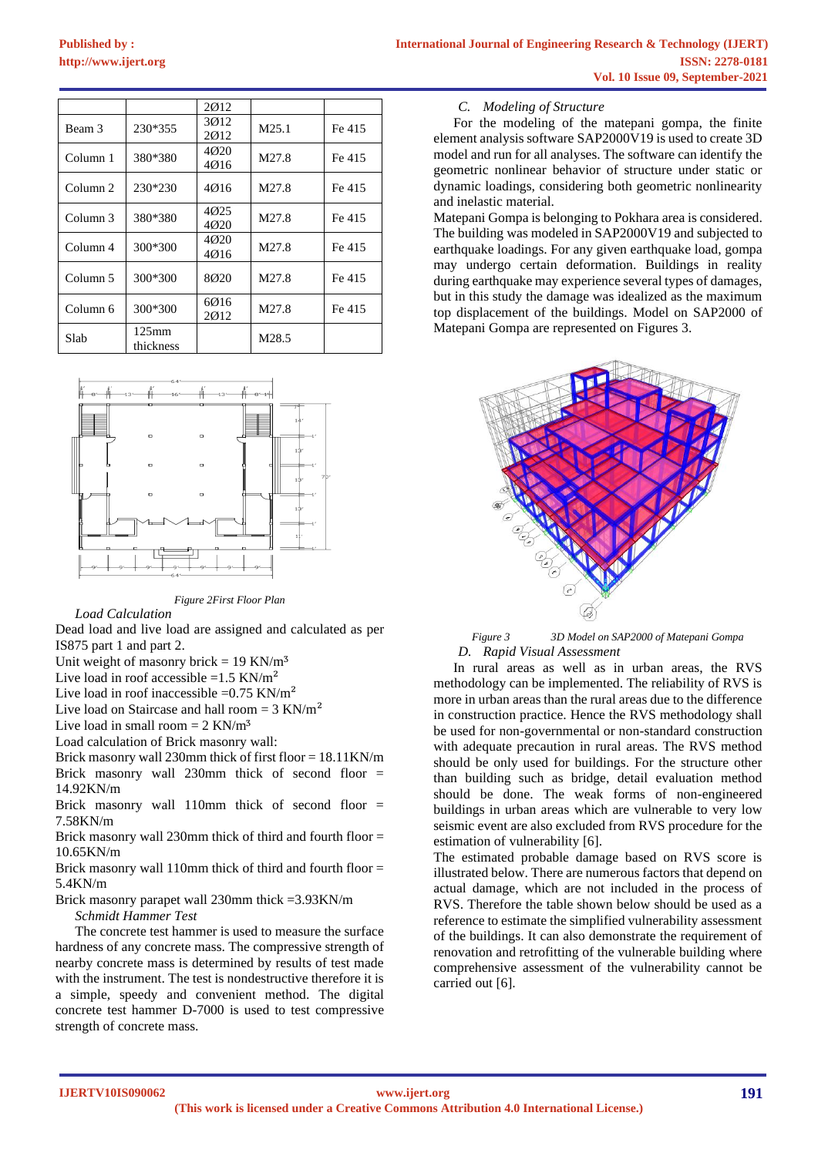|          |                              | 2012         |       |        |
|----------|------------------------------|--------------|-------|--------|
| Beam 3   | 230*355                      | 3012<br>2012 | M25.1 | Fe 415 |
| Column 1 | 380*380                      | 4Ø20<br>4Ø16 | M27.8 | Fe 415 |
| Column 2 | 230*230                      | 4Ø16         | M27.8 | Fe 415 |
| Column 3 | 380*380                      | 4Ø25<br>4Ø20 | M27.8 | Fe 415 |
| Column 4 | 300*300                      | 4Ø20<br>4Ø16 | M27.8 | Fe 415 |
| Column 5 | 300*300                      | 8Ø20         | M27.8 | Fe 415 |
| Column 6 | 300*300                      | 6Ø16<br>2012 | M27.8 | Fe 415 |
| Slab     | $125 \text{mm}$<br>thickness |              | M28.5 |        |



*Figure 2First Floor Plan*

*Load Calculation*

Dead load and live load are assigned and calculated as per IS875 part 1 and part 2.

Unit weight of masonry brick =  $19$  KN/m<sup>3</sup>

Live load in roof accessible =1.5 KN/ $m<sup>2</sup>$ 

Live load in roof inaccessible = $0.75$  KN/m<sup>2</sup>

Live load on Staircase and hall room  $= 3$  KN/m<sup>2</sup>

Live load in small room  $= 2$  KN/m<sup>3</sup>

Load calculation of Brick masonry wall:

Brick masonry wall 230mm thick of first floor = 18.11KN/m Brick masonry wall 230mm thick of second floor = 14.92KN/m

Brick masonry wall 110mm thick of second floor  $=$ 7.58KN/m

Brick masonry wall 230mm thick of third and fourth floor = 10.65KN/m

Brick masonry wall 110mm thick of third and fourth floor = 5.4KN/m

Brick masonry parapet wall 230mm thick =3.93KN/m *Schmidt Hammer Test*

The concrete test hammer is used to measure the surface hardness of any concrete mass. The compressive strength of nearby concrete mass is determined by results of test made with the instrument. The test is nondestructive therefore it is a simple, speedy and convenient method. The digital concrete test hammer D-7000 is used to test compressive strength of concrete mass.

#### *C. Modeling of Structure*

For the modeling of the matepani gompa, the finite element analysis software SAP2000V19 is used to create 3D model and run for all analyses. The software can identify the geometric nonlinear behavior of structure under static or dynamic loadings, considering both geometric nonlinearity and inelastic material.

Matepani Gompa is belonging to Pokhara area is considered. The building was modeled in SAP2000V19 and subjected to earthquake loadings. For any given earthquake load, gompa may undergo certain deformation. Buildings in reality during earthquake may experience several types of damages. but in this study the damage was idealized as the maximum top displacement of the buildings. Model on SAP2000 of Matepani Gompa are represented on Figures 3.



*Figure 3 3D Model on SAP2000 of Matepani Gompa D. Rapid Visual Assessment*

In rural areas as well as in urban areas, the RVS methodology can be implemented. The reliability of RVS is more in urban areas than the rural areas due to the difference in construction practice. Hence the RVS methodology shall be used for non-governmental or non-standard construction with adequate precaution in rural areas. The RVS method should be only used for buildings. For the structure other than building such as bridge, detail evaluation method should be done. The weak forms of non-engineered buildings in urban areas which are vulnerable to very low seismic event are also excluded from RVS procedure for the estimation of vulnerability [6].

The estimated probable damage based on RVS score is illustrated below. There are numerous factors that depend on actual damage, which are not included in the process of RVS. Therefore the table shown below should be used as a reference to estimate the simplified vulnerability assessment of the buildings. It can also demonstrate the requirement of renovation and retrofitting of the vulnerable building where comprehensive assessment of the vulnerability cannot be carried out [6].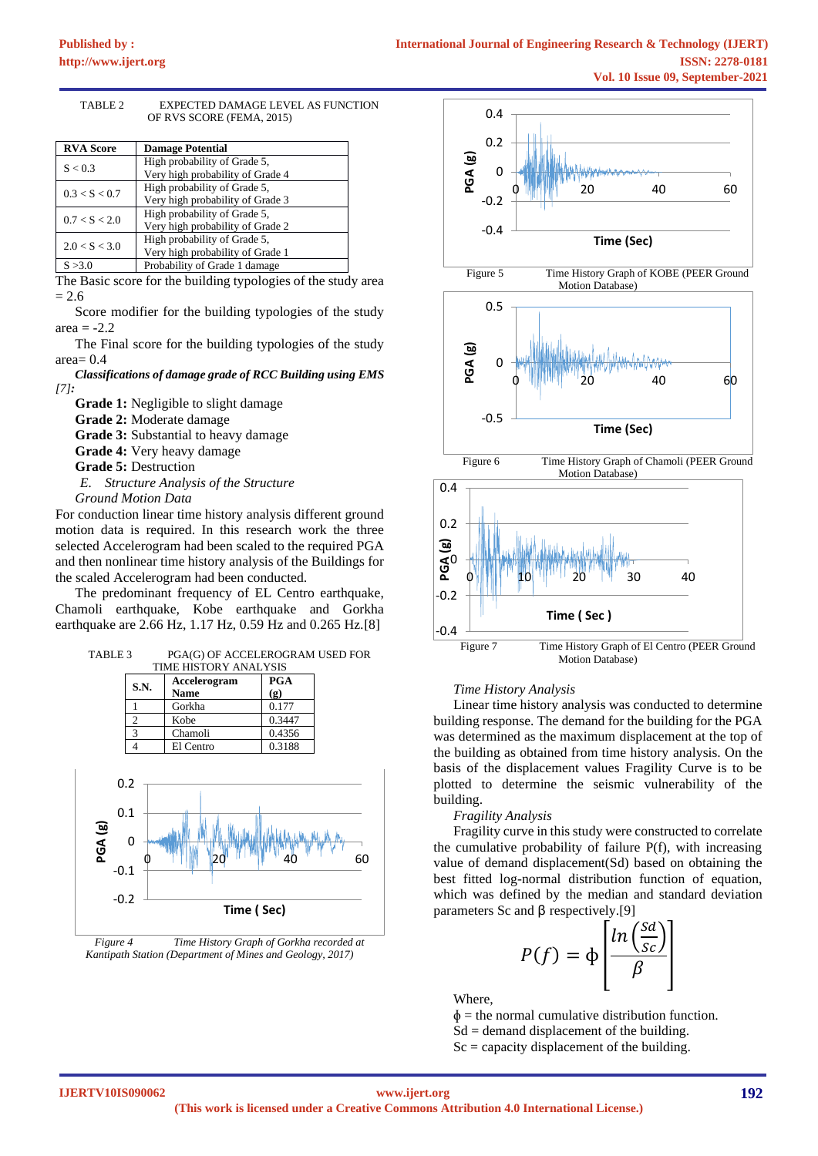TABLE 2 EXPECTED DAMAGE LEVEL AS FUNCTION OF RVS SCORE (FEMA, 2015)

| <b>RVA Score</b> | <b>Damage Potential</b>                                          |
|------------------|------------------------------------------------------------------|
| S < 0.3          | High probability of Grade 5,<br>Very high probability of Grade 4 |
| 0.3 < S < 0.7    | High probability of Grade 5,<br>Very high probability of Grade 3 |
| 0.7 < S < 2.0    | High probability of Grade 5,<br>Very high probability of Grade 2 |
| 2.0 < S < 3.0    | High probability of Grade 5,<br>Very high probability of Grade 1 |
| S > 3.0          | Probability of Grade 1 damage                                    |

The Basic score for the building typologies of the study area  $= 2.6$ 

Score modifier for the building typologies of the study  $area = -2.2$ 

The Final score for the building typologies of the study area $= 0.4$ 

*Classifications of damage grade of RCC Building using EMS [7]:*

**Grade 1:** Negligible to slight damage

**Grade 2:** Moderate damage

**Grade 3:** Substantial to heavy damage

**Grade 4:** Very heavy damage

**Grade 5:** Destruction

*E. Structure Analysis of the Structure*

*Ground Motion Data*

For conduction linear time history analysis different ground motion data is required. In this research work the three selected Accelerogram had been scaled to the required PGA and then nonlinear time history analysis of the Buildings for the scaled Accelerogram had been conducted.

The predominant frequency of EL Centro earthquake, Chamoli earthquake, Kobe earthquake and Gorkha earthquake are 2.66 Hz, 1.17 Hz, 0.59 Hz and 0.265 Hz.[8]

| TABLE 3 | PGA(G) OF ACCELEROGRAM USED FOR |
|---------|---------------------------------|
|         |                                 |

| S.N. | TIME HISTORY ANALYSIS<br>Accelerogram<br><b>Name</b> | <b>PGA</b><br>(g) |  |
|------|------------------------------------------------------|-------------------|--|
|      | Gorkha                                               | 0.177             |  |
| 2    | Kobe                                                 | 0.3447            |  |
| 3    | Chamoli                                              | 0.4356            |  |
|      | El Centro                                            | 0.3188            |  |



*Figure 4 Time History Graph of Gorkha recorded at Kantipath Station (Department of Mines and Geology, 2017)*



#### *Time History Analysis*

Linear time history analysis was conducted to determine building response. The demand for the building for the PGA was determined as the maximum displacement at the top of the building as obtained from time history analysis. On the basis of the displacement values Fragility Curve is to be plotted to determine the seismic vulnerability of the building.

*Fragility Analysis*

Fragility curve in this study were constructed to correlate the cumulative probability of failure P(f), with increasing value of demand displacement(Sd) based on obtaining the best fitted log-normal distribution function of equation, which was defined by the median and standard deviation parameters Sc and β respectively.[9]

$$
P(f) = \Phi\left[\frac{\ln\left(\frac{Sd}{Sc}\right)}{\beta}\right]
$$

Where,

 $\phi$  = the normal cumulative distribution function.  $Sd =$  demand displacement of the building.

 $Sc =$  capacity displacement of the building.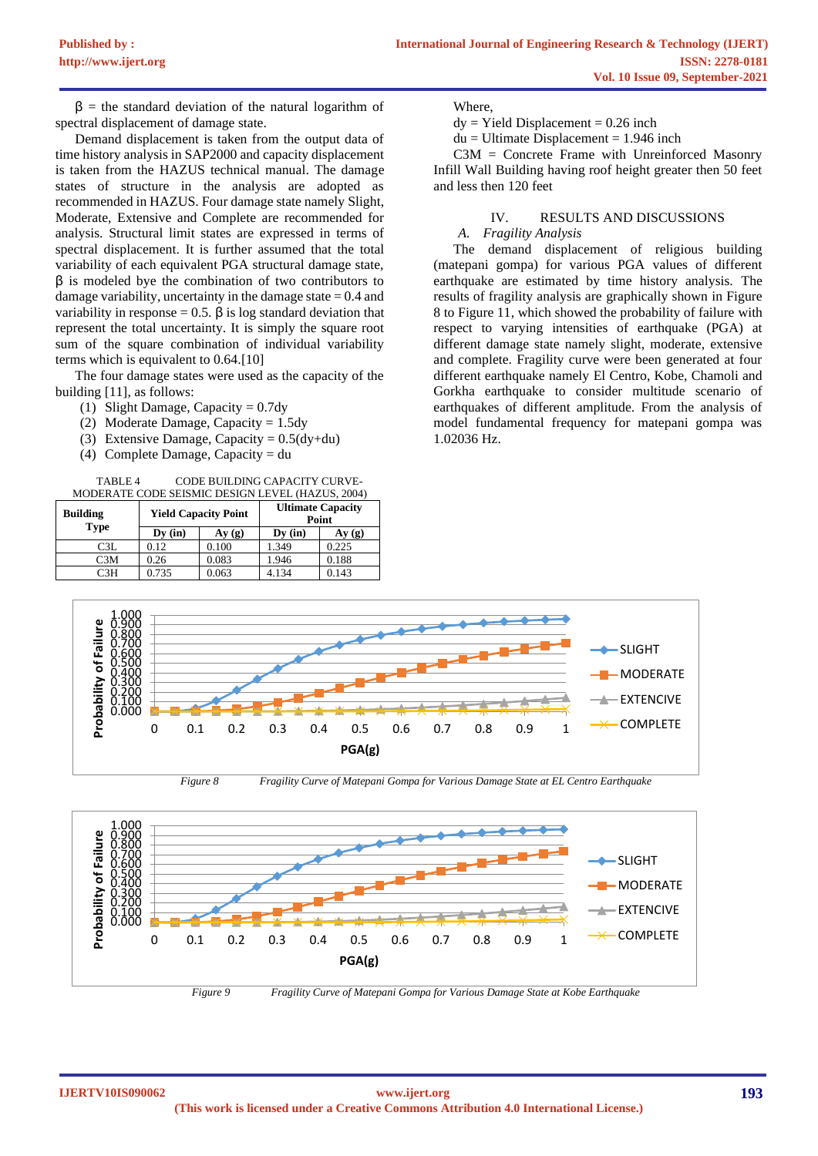$β =$  the standard deviation of the natural logarithm of spectral displacement of damage state.

Demand displacement is taken from the output data of time history analysis in SAP2000 and capacity displacement is taken from the HAZUS technical manual. The damage states of structure in the analysis are adopted as recommended in HAZUS. Four damage state namely Slight, Moderate, Extensive and Complete are recommended for analysis. Structural limit states are expressed in terms of spectral displacement. It is further assumed that the total variability of each equivalent PGA structural damage state, β is modeled bye the combination of two contributors to damage variability, uncertainty in the damage state  $= 0.4$  and variability in response = 0.5.  $\beta$  is log standard deviation that represent the total uncertainty. It is simply the square root sum of the square combination of individual variability terms which is equivalent to 0.64.[10]

The four damage states were used as the capacity of the building [11], as follows:

- (1) Slight Damage, Capacity =  $0.7dy$
- (2) Moderate Damage, Capacity = 1.5dy
- (3) Extensive Damage, Capacity =  $0.5(dy+du)$
- (4) Complete Damage, Capacity = du

TABLE 4 CODE BUILDING CAPACITY CURVE-MODERATE CODE SEISMIC DESIGN LEVEL (HAZUS, 2004)

| <b>Building</b><br><b>Type</b> | <b>Yield Capacity Point</b> |       | <b>Ultimate Capacity</b><br>Point |       |
|--------------------------------|-----------------------------|-------|-----------------------------------|-------|
|                                | Dy(in)                      | Ay(g) | $Dv$ (in)                         | Ay(g) |
| C3L                            | 0.12                        | 0.100 | 1.349                             | 0.225 |
| C3M                            | 0.26                        | 0.083 | 1.946                             | 0.188 |
| 73H                            | 0.735                       | 0.063 | 4.134                             | 0.143 |

Where,

 $dy = Yield Displacement = 0.26 inch$ 

 $du = Ultimate Displacement = 1.946$  inch

C3M = Concrete Frame with Unreinforced Masonry Infill Wall Building having roof height greater then 50 feet and less then 120 feet

# IV. RESULTS AND DISCUSSIONS

### *A. Fragility Analysis*

The demand displacement of religious building (matepani gompa) for various PGA values of different earthquake are estimated by time history analysis. The results of fragility analysis are graphically shown in Figure 8 to Figure 11, which showed the probability of failure with respect to varying intensities of earthquake (PGA) at different damage state namely slight, moderate, extensive and complete. Fragility curve were been generated at four different earthquake namely El Centro, Kobe, Chamoli and Gorkha earthquake to consider multitude scenario of earthquakes of different amplitude. From the analysis of model fundamental frequency for matepani gompa was 1.02036 Hz.



*Figure 8 Fragility Curve of Matepani Gompa for Various Damage State at EL Centro Earthquake*



*Figure 9 Fragility Curve of Matepani Gompa for Various Damage State at Kobe Earthquake*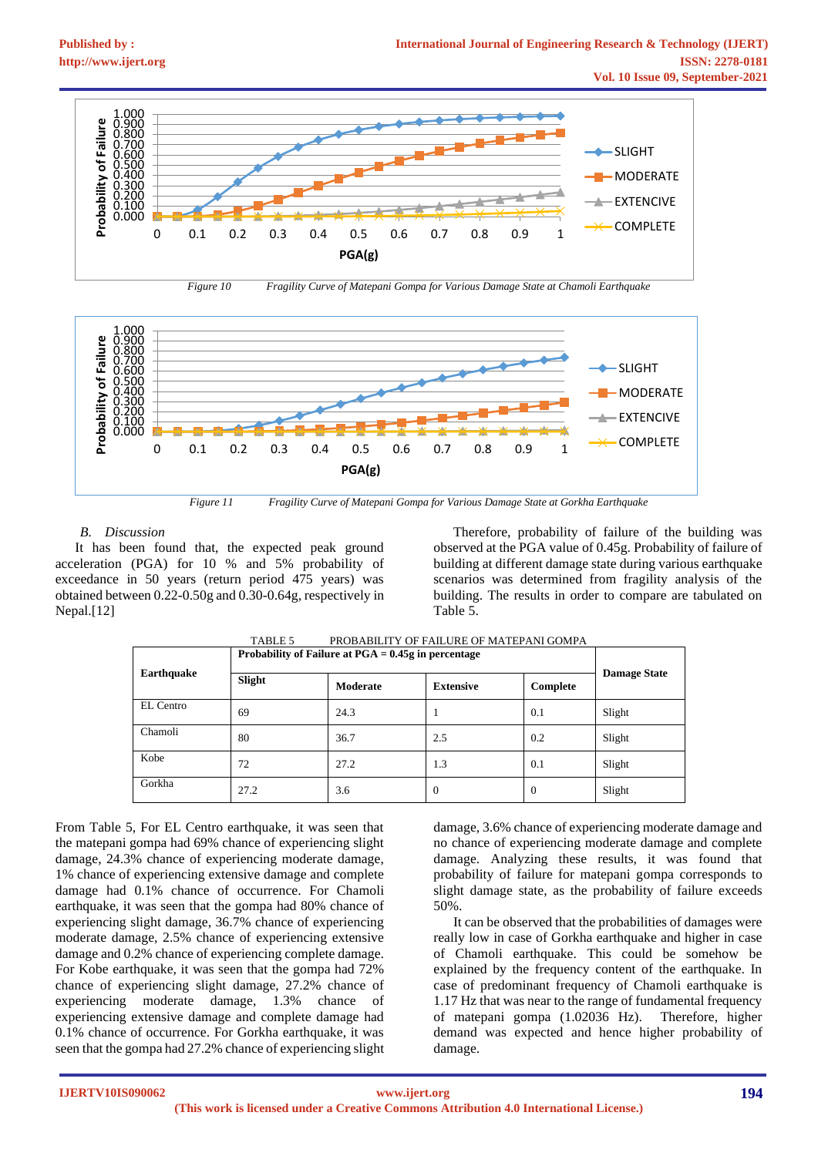

*Figure 10 Fragility Curve of Matepani Gompa for Various Damage State at Chamoli Earthquake*



*Figure 11 Fragility Curve of Matepani Gompa for Various Damage State at Gorkha Earthquake*

# *B. Discussion*

**[Published by :](www.ijert.org)**

It has been found that, the expected peak ground acceleration (PGA) for 10 % and 5% probability of exceedance in 50 years (return period 475 years) was obtained between 0.22-0.50g and 0.30-0.64g, respectively in Nepal.[12]

Therefore, probability of failure of the building was observed at the PGA value of 0.45g. Probability of failure of building at different damage state during various earthquake scenarios was determined from fragility analysis of the building. The results in order to compare are tabulated on Table 5.

|            | Probability of Failure at $PGA = 0.45g$ in percentage |          |                  |          |                     |
|------------|-------------------------------------------------------|----------|------------------|----------|---------------------|
| Earthquake | Slight                                                | Moderate | <b>Extensive</b> | Complete | <b>Damage State</b> |
| EL Centro  | 69                                                    | 24.3     |                  | 0.1      | Slight              |
| Chamoli    | 80                                                    | 36.7     | 2.5              | 0.2      | Slight              |
| Kobe       | 72                                                    | 27.2     | 1.3              | 0.1      | Slight              |
| Gorkha     | 27.2                                                  | 3.6      | O                | 0        | Slight              |

| PROBABILITY OF FAILURE OF MATEPANI GOMPA<br>TABLE 5 |  |
|-----------------------------------------------------|--|
|-----------------------------------------------------|--|

From Table 5, For EL Centro earthquake, it was seen that the matepani gompa had 69% chance of experiencing slight damage, 24.3% chance of experiencing moderate damage, 1% chance of experiencing extensive damage and complete damage had 0.1% chance of occurrence. For Chamoli earthquake, it was seen that the gompa had 80% chance of experiencing slight damage, 36.7% chance of experiencing moderate damage, 2.5% chance of experiencing extensive damage and 0.2% chance of experiencing complete damage. For Kobe earthquake, it was seen that the gompa had 72% chance of experiencing slight damage, 27.2% chance of experiencing moderate damage, 1.3% chance of experiencing extensive damage and complete damage had 0.1% chance of occurrence. For Gorkha earthquake, it was seen that the gompa had 27.2% chance of experiencing slight damage, 3.6% chance of experiencing moderate damage and no chance of experiencing moderate damage and complete damage. Analyzing these results, it was found that probability of failure for matepani gompa corresponds to slight damage state, as the probability of failure exceeds 50%.

It can be observed that the probabilities of damages were really low in case of Gorkha earthquake and higher in case of Chamoli earthquake. This could be somehow be explained by the frequency content of the earthquake. In case of predominant frequency of Chamoli earthquake is 1.17 Hz that was near to the range of fundamental frequency of matepani gompa (1.02036 Hz). Therefore, higher demand was expected and hence higher probability of damage.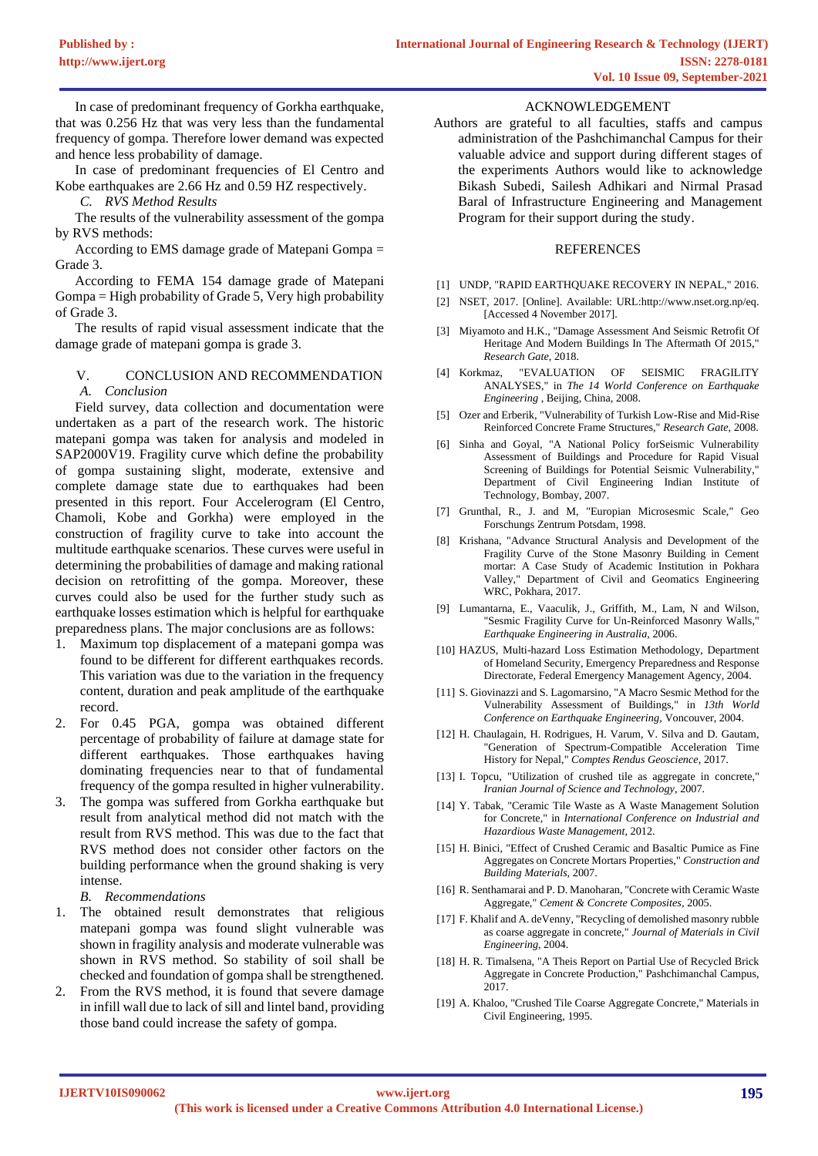In case of predominant frequency of Gorkha earthquake, that was 0.256 Hz that was very less than the fundamental frequency of gompa. Therefore lower demand was expected and hence less probability of damage.

In case of predominant frequencies of El Centro and Kobe earthquakes are 2.66 Hz and 0.59 HZ respectively.

*C. RVS Method Results*

The results of the vulnerability assessment of the gompa by RVS methods:

According to EMS damage grade of Matepani Gompa = Grade 3.

According to FEMA 154 damage grade of Matepani Gompa = High probability of Grade 5, Very high probability of Grade 3.

The results of rapid visual assessment indicate that the damage grade of matepani gompa is grade 3.

# V. CONCLUSION AND RECOMMENDATION *A. Conclusion*

Field survey, data collection and documentation were undertaken as a part of the research work. The historic matepani gompa was taken for analysis and modeled in SAP2000V19. Fragility curve which define the probability of gompa sustaining slight, moderate, extensive and complete damage state due to earthquakes had been presented in this report. Four Accelerogram (El Centro, Chamoli, Kobe and Gorkha) were employed in the construction of fragility curve to take into account the multitude earthquake scenarios. These curves were useful in determining the probabilities of damage and making rational decision on retrofitting of the gompa. Moreover, these curves could also be used for the further study such as earthquake losses estimation which is helpful for earthquake preparedness plans. The major conclusions are as follows:

- 1. Maximum top displacement of a matepani gompa was found to be different for different earthquakes records. This variation was due to the variation in the frequency content, duration and peak amplitude of the earthquake record.
- 2. For 0.45 PGA, gompa was obtained different percentage of probability of failure at damage state for different earthquakes. Those earthquakes having dominating frequencies near to that of fundamental frequency of the gompa resulted in higher vulnerability.
- 3. The gompa was suffered from Gorkha earthquake but result from analytical method did not match with the result from RVS method. This was due to the fact that RVS method does not consider other factors on the building performance when the ground shaking is very intense.

*B. Recommendations*

- 1. The obtained result demonstrates that religious matepani gompa was found slight vulnerable was shown in fragility analysis and moderate vulnerable was shown in RVS method. So stability of soil shall be checked and foundation of gompa shall be strengthened.
- 2. From the RVS method, it is found that severe damage in infill wall due to lack of sill and lintel band, providing those band could increase the safety of gompa.

# ACKNOWLEDGEMENT

Authors are grateful to all faculties, staffs and campus administration of the Pashchimanchal Campus for their valuable advice and support during different stages of the experiments Authors would like to acknowledge Bikash Subedi, Sailesh Adhikari and Nirmal Prasad Baral of Infrastructure Engineering and Management Program for their support during the study.

### **REFERENCES**

- [1] UNDP, "RAPID EARTHQUAKE RECOVERY IN NEPAL," 2016.
- [2] NSET, 2017. [Online]. Available: URL:http://www.nset.org.np/eq. [Accessed 4 November 2017].
- [3] Miyamoto and H.K., "Damage Assessment And Seismic Retrofit Of Heritage And Modern Buildings In The Aftermath Of 2015," *Research Gate,* 2018.
- [4] Korkmaz, "EVALUATION OF SEISMIC FRAGILITY ANALYSES," in *The 14 World Conference on Earthquake Engineering* , Beijing, China, 2008.
- [5] Ozer and Erberik, "Vulnerability of Turkish Low-Rise and Mid-Rise Reinforced Concrete Frame Structures," *Research Gate,* 2008.
- [6] Sinha and Goyal, "A National Policy forSeismic Vulnerability Assessment of Buildings and Procedure for Rapid Visual Screening of Buildings for Potential Seismic Vulnerability," Department of Civil Engineering Indian Institute of Technology, Bombay, 2007.
- [7] Grunthal, R., J. and M, "Europian Microsesmic Scale," Geo Forschungs Zentrum Potsdam, 1998.
- [8] Krishana, "Advance Structural Analysis and Development of the Fragility Curve of the Stone Masonry Building in Cement mortar: A Case Study of Academic Institution in Pokhara Valley," Department of Civil and Geomatics Engineering WRC, Pokhara, 2017.
- [9] Lumantarna, E., Vaaculik, J., Griffith, M., Lam, N and Wilson, "Sesmic Fragility Curve for Un-Reinforced Masonry Walls," *Earthquake Engineering in Australia,* 2006.
- [10] HAZUS, Multi-hazard Loss Estimation Methodology, Department of Homeland Security, Emergency Preparedness and Response Directorate, Federal Emergency Management Agency, 2004.
- [11] S. Giovinazzi and S. Lagomarsino, "A Macro Sesmic Method for the Vulnerability Assessment of Buildings," in *13th World Conference on Earthquake Engineering*, Voncouver, 2004.
- [12] H. Chaulagain, H. Rodrigues, H. Varum, V. Silva and D. Gautam, "Generation of Spectrum-Compatible Acceleration Time History for Nepal," *Comptes Rendus Geoscience,* 2017.
- [13] I. Topcu, "Utilization of crushed tile as aggregate in concrete," *Iranian Journal of Science and Technology,* 2007.
- [14] Y. Tabak, "Ceramic Tile Waste as A Waste Management Solution for Concrete," in *International Conference on Industrial and Hazardious Waste Management*, 2012.
- [15] H. Binici, "Effect of Crushed Ceramic and Basaltic Pumice as Fine Aggregates on Concrete Mortars Properties," *Construction and Building Materials,* 2007.
- [16] R. Senthamarai and P. D. Manoharan, "Concrete with Ceramic Waste Aggregate," *Cement & Concrete Composites,* 2005.
- [17] F. Khalif and A. deVenny, "Recycling of demolished masonry rubble as coarse aggregate in concrete," *Journal of Materials in Civil Engineering,* 2004.
- [18] H. R. Timalsena, "A Theis Report on Partial Use of Recycled Brick Aggregate in Concrete Production," Pashchimanchal Campus, 2017.
- [19] A. Khaloo, "Crushed Tile Coarse Aggregate Concrete," Materials in Civil Engineering, 1995.